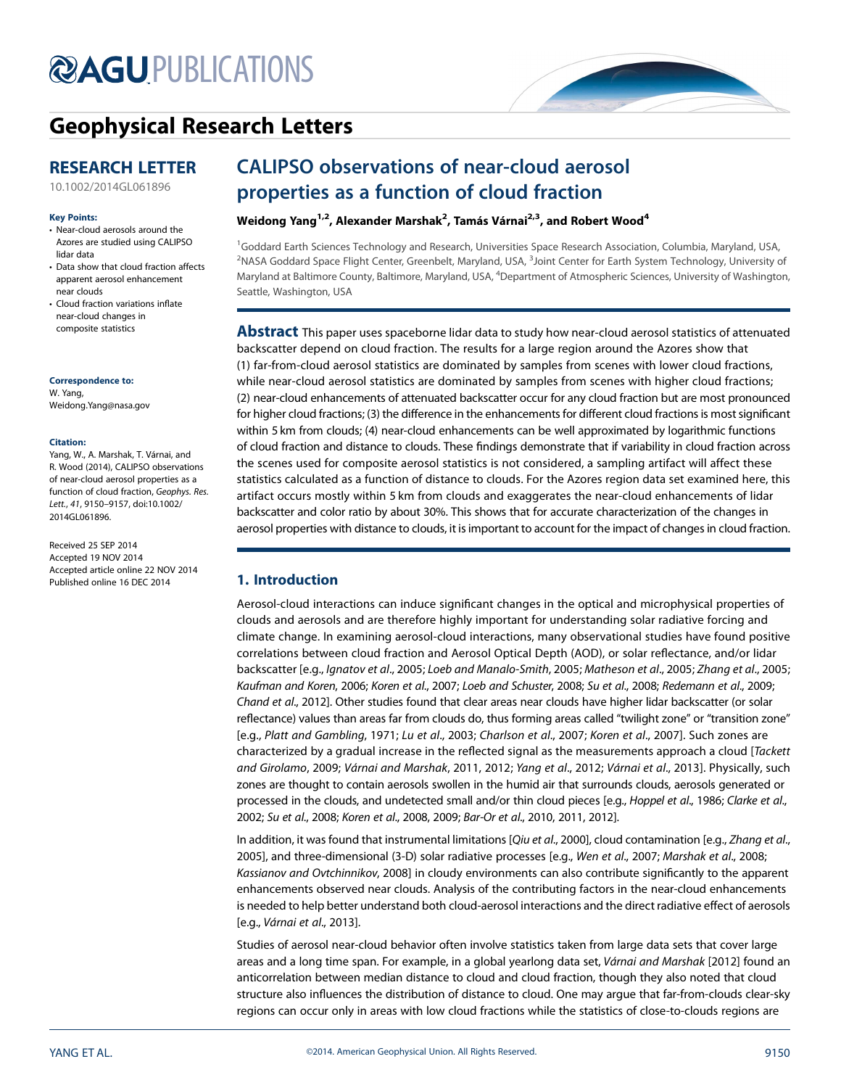# **@AGU[PUBLICATIONS](http://publications.agu.org/journals/)**

# [Geophysical Research Letters](http://onlinelibrary.wiley.com/journal/10.1002/(ISSN)1944-8007)

# RESEARCH LETTER

[10.1002/2014GL061896](http://dx.doi.org/10.1002/2014GL061896)

#### Key Points:

- Near-cloud aerosols around the Azores are studied using CALIPSO lidar data
- Data show that cloud fraction affects apparent aerosol enhancement near clouds
- Cloud fraction variations inflate near-cloud changes in composite statistics

#### Correspondence to:

W. Yang, Weidong.Yang@nasa.gov

#### Citation:

Yang, W., A. Marshak, T. Várnai, and R. Wood (2014), CALIPSO observations of near-cloud aerosol properties as a function of cloud fraction, Geophys. Res. Lett., 41, 9150–9157, doi:10.1002/ 2014GL061896.

Received 25 SEP 2014 Accepted 19 NOV 2014 Accepted article online 22 NOV 2014 Published online 16 DEC 2014

# CALIPSO observations of near-cloud aerosol properties as a function of cloud fraction

## Weidong Yang<sup>1,2</sup>, Alexander Marshak<sup>2</sup>, Tamás Várnai<sup>2,3</sup>, and Robert Wood<sup>4</sup>

<sup>1</sup>Goddard Earth Sciences Technology and Research, Universities Space Research Association, Columbia, Maryland, USA,  $^2$ NASA Goddard Space Flight Center, Greenbelt, Maryland, USA,  $^3$ Joint Center for Earth System Technology, University of Maryland at Baltimore County, Baltimore, Maryland, USA, <sup>4</sup>Department of Atmospheric Sciences, University of Washington, Seattle, Washington, USA

Abstract This paper uses spaceborne lidar data to study how near-cloud aerosol statistics of attenuated backscatter depend on cloud fraction. The results for a large region around the Azores show that (1) far-from-cloud aerosol statistics are dominated by samples from scenes with lower cloud fractions, while near-cloud aerosol statistics are dominated by samples from scenes with higher cloud fractions; (2) near-cloud enhancements of attenuated backscatter occur for any cloud fraction but are most pronounced for higher cloud fractions; (3) the difference in the enhancements for different cloud fractions is most significant within 5 km from clouds; (4) near-cloud enhancements can be well approximated by logarithmic functions of cloud fraction and distance to clouds. These findings demonstrate that if variability in cloud fraction across the scenes used for composite aerosol statistics is not considered, a sampling artifact will affect these statistics calculated as a function of distance to clouds. For the Azores region data set examined here, this artifact occurs mostly within 5 km from clouds and exaggerates the near-cloud enhancements of lidar backscatter and color ratio by about 30%. This shows that for accurate characterization of the changes in aerosol properties with distance to clouds, it is important to account for the impact of changes in cloud fraction.

## 1. Introduction

Aerosol-cloud interactions can induce significant changes in the optical and microphysical properties of clouds and aerosols and are therefore highly important for understanding solar radiative forcing and climate change. In examining aerosol-cloud interactions, many observational studies have found positive correlations between cloud fraction and Aerosol Optical Depth (AOD), or solar reflectance, and/or lidar backscatter [e.g., Ignatov et al., 2005; Loeb and Manalo-Smith, 2005; Matheson et al., 2005; Zhang et al., 2005; Kaufman and Koren, 2006; Koren et al., 2007; Loeb and Schuster, 2008; Su et al., 2008; Redemann et al., 2009; Chand et al., 2012]. Other studies found that clear areas near clouds have higher lidar backscatter (or solar reflectance) values than areas far from clouds do, thus forming areas called "twilight zone" or "transition zone" [e.g., Platt and Gambling, 1971; Lu et al., 2003; Charlson et al., 2007; Koren et al., 2007]. Such zones are characterized by a gradual increase in the reflected signal as the measurements approach a cloud [Tackett and Girolamo, 2009; Várnai and Marshak, 2011, 2012; Yang et al., 2012; Várnai et al., 2013]. Physically, such zones are thought to contain aerosols swollen in the humid air that surrounds clouds, aerosols generated or processed in the clouds, and undetected small and/or thin cloud pieces [e.g., Hoppel et al., 1986; Clarke et al., 2002; Su et al., 2008; Koren et al., 2008, 2009; Bar-Or et al., 2010, 2011, 2012].

In addition, it was found that instrumental limitations [Qiu et al., 2000], cloud contamination [e.g., Zhang et al., 2005], and three-dimensional (3-D) solar radiative processes [e.g., Wen et al., 2007; Marshak et al., 2008; Kassianov and Ovtchinnikov, 2008] in cloudy environments can also contribute significantly to the apparent enhancements observed near clouds. Analysis of the contributing factors in the near-cloud enhancements is needed to help better understand both cloud-aerosol interactions and the direct radiative effect of aerosols [e.g., Várnai et al., 2013].

Studies of aerosol near-cloud behavior often involve statistics taken from large data sets that cover large areas and a long time span. For example, in a global yearlong data set, Várnai and Marshak [2012] found an anticorrelation between median distance to cloud and cloud fraction, though they also noted that cloud structure also influences the distribution of distance to cloud. One may argue that far-from-clouds clear-sky regions can occur only in areas with low cloud fractions while the statistics of close-to-clouds regions are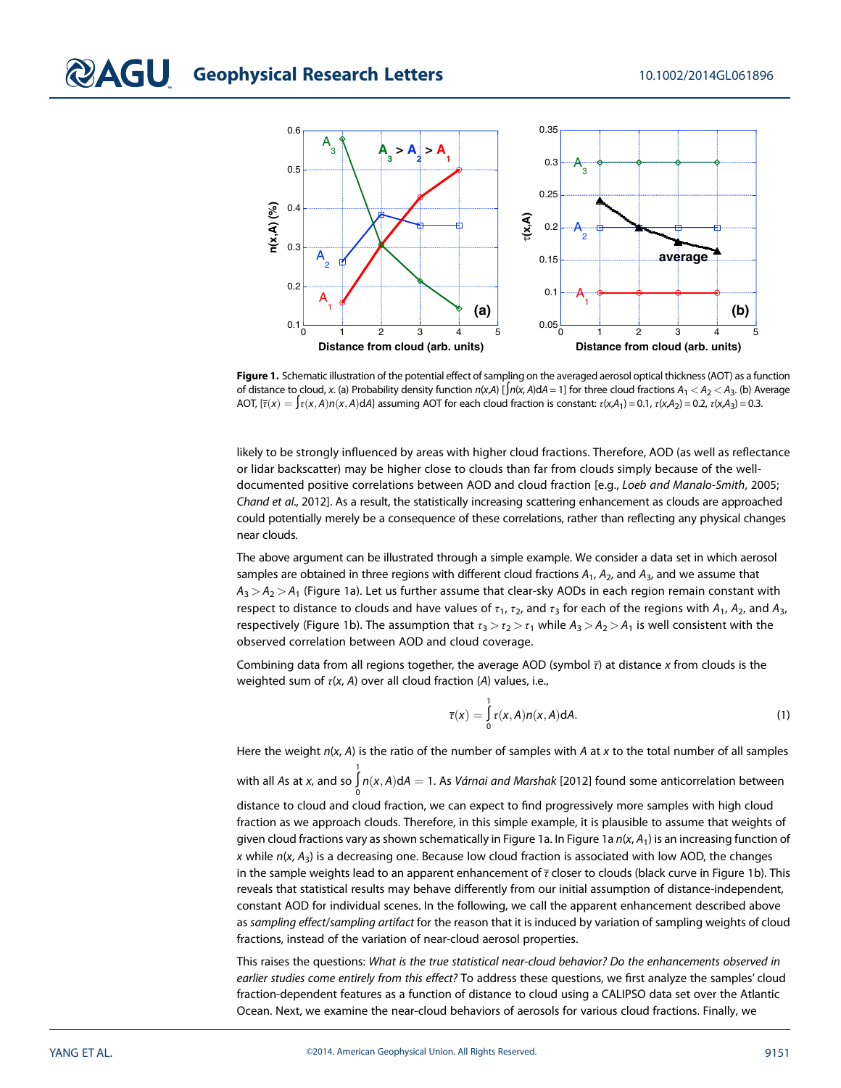

Figure 1. Schematic illustration of the potential effect of sampling on the averaged aerosol optical thickness (AOT) as a function of distance to cloud, x. (a) Probability density function  $n(x,A)$  [ $\int n(x,A) dA = 1$ ] for three cloud fractions  $A_1 < A_2 < A_3$ . (b) Average AOT,  $[\bar{\tau}(x) = \int_{\tau}^{x} (x, A) n(x, A) dA]$  assuming AOT for each cloud fraction is constant:  $\tau(x, A_1) = 0.1$ ,  $\tau(x, A_2) = 0.2$ ,  $\tau(x, A_3) = 0.3$ .

likely to be strongly influenced by areas with higher cloud fractions. Therefore, AOD (as well as reflectance or lidar backscatter) may be higher close to clouds than far from clouds simply because of the welldocumented positive correlations between AOD and cloud fraction [e.g., Loeb and Manalo-Smith, 2005; Chand et al., 2012]. As a result, the statistically increasing scattering enhancement as clouds are approached could potentially merely be a consequence of these correlations, rather than reflecting any physical changes near clouds.

The above argument can be illustrated through a simple example. We consider a data set in which aerosol samples are obtained in three regions with different cloud fractions  $A_1$ ,  $A_2$ , and  $A_3$ , and we assume that  $A_3 > A_2 > A_1$  (Figure 1a). Let us further assume that clear-sky AODs in each region remain constant with respect to distance to clouds and have values of  $\tau_1$ ,  $\tau_2$ , and  $\tau_3$  for each of the regions with  $A_1$ ,  $A_2$ , and  $A_3$ , respectively (Figure 1b). The assumption that  $\tau_3 > \tau_2 > \tau_1$  while  $A_3 > A_2 > A_1$  is well consistent with the observed correlation between AOD and cloud coverage.

Combining data from all regions together, the average AOD (symbol  $\bar{\tau}$ ) at distance x from clouds is the weighted sum of  $\tau$ (x, A) over all cloud fraction (A) values, i.e.,

$$
\overline{\tau}(x) = \int_{0}^{1} \tau(x, A) n(x, A) dA.
$$
 (1)

Here the weight  $n(x, A)$  is the ratio of the number of samples with A at x to the total number of all samples with all As at x, and so  $\int\limits_0^1 n(x,A)dA = 1$ . As *Várnai and Marshak* [2012] found some anticorrelation between 1 distance to cloud and cloud fraction, we can expect to find progressively more samples with high cloud fraction as we approach clouds. Therefore, in this simple example, it is plausible to assume that weights of given cloud fractions vary as shown schematically in Figure 1a. In Figure 1a  $n(x, A_1)$  is an increasing function of x while  $n(x, A_3)$  is a decreasing one. Because low cloud fraction is associated with low AOD, the changes in the sample weights lead to an apparent enhancement of  $\bar{\tau}$  closer to clouds (black curve in Figure 1b). This reveals that statistical results may behave differently from our initial assumption of distance-independent, constant AOD for individual scenes. In the following, we call the apparent enhancement described above as sampling effect/sampling artifact for the reason that it is induced by variation of sampling weights of cloud fractions, instead of the variation of near-cloud aerosol properties.

This raises the questions: What is the true statistical near-cloud behavior? Do the enhancements observed in earlier studies come entirely from this effect? To address these questions, we first analyze the samples' cloud fraction-dependent features as a function of distance to cloud using a CALIPSO data set over the Atlantic Ocean. Next, we examine the near-cloud behaviors of aerosols for various cloud fractions. Finally, we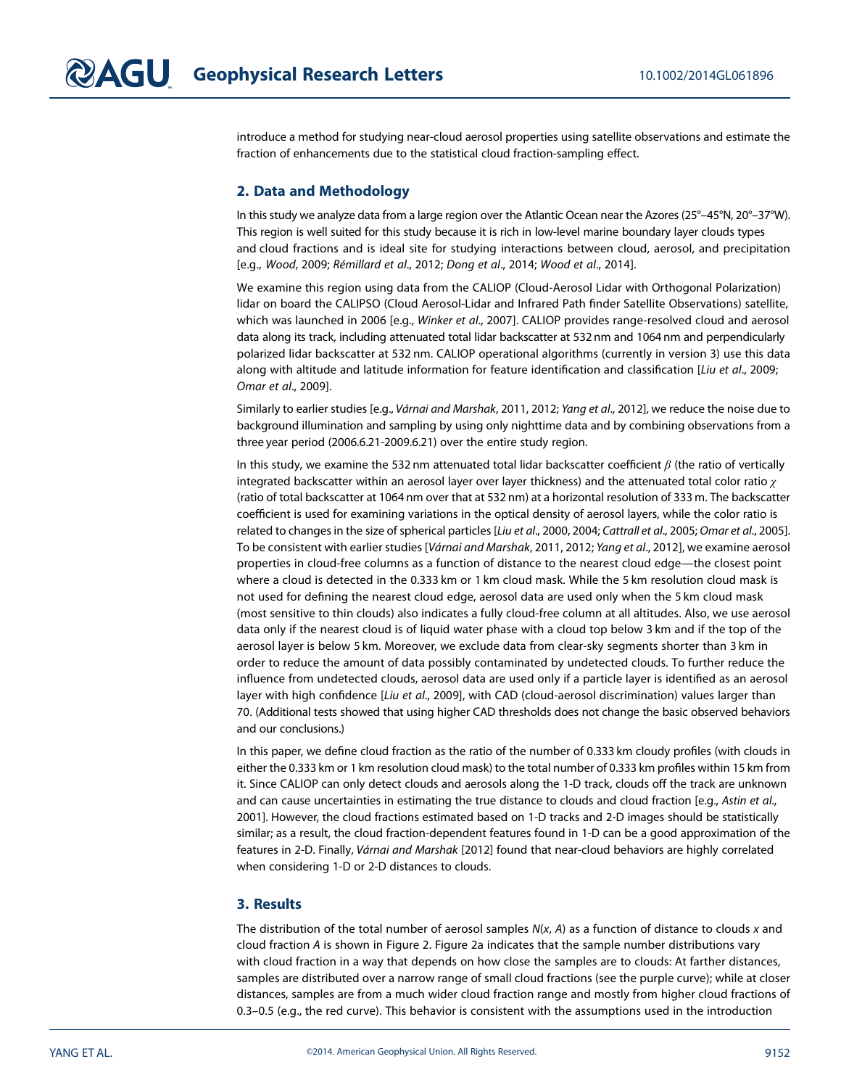introduce a method for studying near-cloud aerosol properties using satellite observations and estimate the fraction of enhancements due to the statistical cloud fraction-sampling effect.

## 2. Data and Methodology

In this study we analyze data from a large region over the Atlantic Ocean near the Azores (25°–45°N, 20°–37°W). This region is well suited for this study because it is rich in low-level marine boundary layer clouds types and cloud fractions and is ideal site for studying interactions between cloud, aerosol, and precipitation [e.g., Wood, 2009; Rémillard et al., 2012; Dong et al., 2014; Wood et al., 2014].

We examine this region using data from the CALIOP (Cloud-Aerosol Lidar with Orthogonal Polarization) lidar on board the CALIPSO (Cloud Aerosol-Lidar and Infrared Path finder Satellite Observations) satellite, which was launched in 2006 [e.g., Winker et al., 2007]. CALIOP provides range-resolved cloud and aerosol data along its track, including attenuated total lidar backscatter at 532 nm and 1064 nm and perpendicularly polarized lidar backscatter at 532 nm. CALIOP operational algorithms (currently in version 3) use this data along with altitude and latitude information for feature identification and classification [Liu et al., 2009; Omar et al., 2009].

Similarly to earlier studies [e.g., Várnai and Marshak, 2011, 2012; Yang et al., 2012], we reduce the noise due to background illumination and sampling by using only nighttime data and by combining observations from a three year period (2006.6.21-2009.6.21) over the entire study region.

In this study, we examine the 532 nm attenuated total lidar backscatter coefficient  $\beta$  (the ratio of vertically integrated backscatter within an aerosol layer over layer thickness) and the attenuated total color ratio  $\gamma$ (ratio of total backscatter at 1064 nm over that at 532 nm) at a horizontal resolution of 333 m. The backscatter coefficient is used for examining variations in the optical density of aerosol layers, while the color ratio is related to changes in the size of spherical particles [Liu et al., 2000, 2004; Cattrall et al., 2005; Omar et al., 2005]. To be consistent with earlier studies [Várnai and Marshak, 2011, 2012; Yang et al., 2012], we examine aerosol properties in cloud-free columns as a function of distance to the nearest cloud edge—the closest point where a cloud is detected in the 0.333 km or 1 km cloud mask. While the 5 km resolution cloud mask is not used for defining the nearest cloud edge, aerosol data are used only when the 5 km cloud mask (most sensitive to thin clouds) also indicates a fully cloud-free column at all altitudes. Also, we use aerosol data only if the nearest cloud is of liquid water phase with a cloud top below 3 km and if the top of the aerosol layer is below 5 km. Moreover, we exclude data from clear-sky segments shorter than 3 km in order to reduce the amount of data possibly contaminated by undetected clouds. To further reduce the influence from undetected clouds, aerosol data are used only if a particle layer is identified as an aerosol layer with high confidence [Liu et al., 2009], with CAD (cloud-aerosol discrimination) values larger than 70. (Additional tests showed that using higher CAD thresholds does not change the basic observed behaviors and our conclusions.)

In this paper, we define cloud fraction as the ratio of the number of 0.333 km cloudy profiles (with clouds in either the 0.333 km or 1 km resolution cloud mask) to the total number of 0.333 km profiles within 15 km from it. Since CALIOP can only detect clouds and aerosols along the 1-D track, clouds off the track are unknown and can cause uncertainties in estimating the true distance to clouds and cloud fraction [e.g., Astin et al., 2001]. However, the cloud fractions estimated based on 1-D tracks and 2-D images should be statistically similar; as a result, the cloud fraction-dependent features found in 1-D can be a good approximation of the features in 2-D. Finally, Várnai and Marshak [2012] found that near-cloud behaviors are highly correlated when considering 1-D or 2-D distances to clouds.

## 3. Results

The distribution of the total number of aerosol samples  $N(x, A)$  as a function of distance to clouds x and cloud fraction A is shown in Figure 2. Figure 2a indicates that the sample number distributions vary with cloud fraction in a way that depends on how close the samples are to clouds: At farther distances, samples are distributed over a narrow range of small cloud fractions (see the purple curve); while at closer distances, samples are from a much wider cloud fraction range and mostly from higher cloud fractions of 0.3–0.5 (e.g., the red curve). This behavior is consistent with the assumptions used in the introduction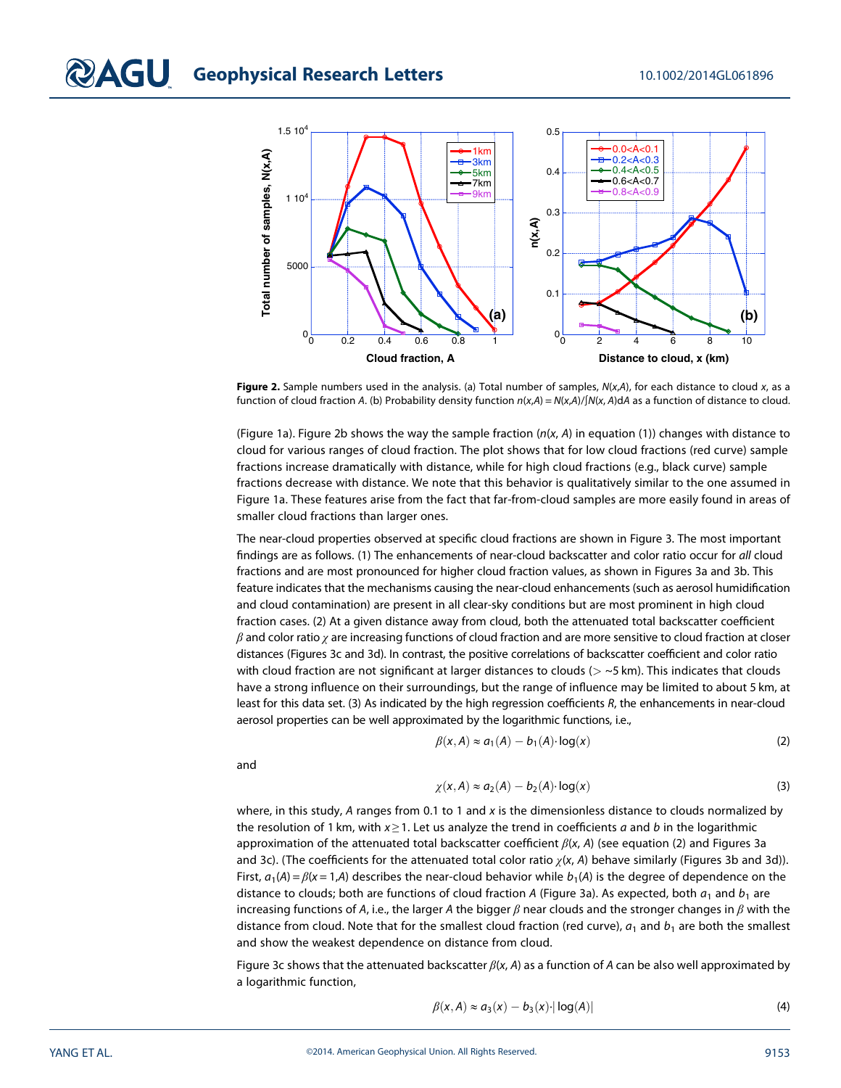

Figure 2. Sample numbers used in the analysis. (a) Total number of samples,  $N(x,A)$ , for each distance to cloud x, as a function of cloud fraction A. (b) Probability density function  $n(x,A) = N(x,A)/\sqrt{N(x,A)}$  as a function of distance to cloud.

(Figure 1a). Figure 2b shows the way the sample fraction  $(n(x, A))$  in equation (1)) changes with distance to cloud for various ranges of cloud fraction. The plot shows that for low cloud fractions (red curve) sample fractions increase dramatically with distance, while for high cloud fractions (e.g., black curve) sample fractions decrease with distance. We note that this behavior is qualitatively similar to the one assumed in Figure 1a. These features arise from the fact that far-from-cloud samples are more easily found in areas of smaller cloud fractions than larger ones.

The near-cloud properties observed at specific cloud fractions are shown in Figure 3. The most important findings are as follows. (1) The enhancements of near-cloud backscatter and color ratio occur for all cloud fractions and are most pronounced for higher cloud fraction values, as shown in Figures 3a and 3b. This feature indicates that the mechanisms causing the near-cloud enhancements (such as aerosol humidification and cloud contamination) are present in all clear-sky conditions but are most prominent in high cloud fraction cases. (2) At a given distance away from cloud, both the attenuated total backscatter coefficient  $\beta$  and color ratio  $\gamma$  are increasing functions of cloud fraction and are more sensitive to cloud fraction at closer distances (Figures 3c and 3d). In contrast, the positive correlations of backscatter coefficient and color ratio with cloud fraction are not significant at larger distances to clouds ( $>$  ~5 km). This indicates that clouds have a strong influence on their surroundings, but the range of influence may be limited to about 5 km, at least for this data set. (3) As indicated by the high regression coefficients R, the enhancements in near-cloud aerosol properties can be well approximated by the logarithmic functions, i.e.,

and

$$
\beta(x, A) \approx a_1(A) - b_1(A) \cdot \log(x) \tag{2}
$$

$$
\chi(x,A) \approx a_2(A) - b_2(A) \cdot \log(x) \tag{3}
$$

where, in this study, A ranges from 0.1 to 1 and  $x$  is the dimensionless distance to clouds normalized by the resolution of 1 km, with  $x \ge 1$ . Let us analyze the trend in coefficients a and b in the logarithmic approximation of the attenuated total backscatter coefficient  $\beta(x, A)$  (see equation (2) and Figures 3a and 3c). (The coefficients for the attenuated total color ratio  $\chi(x, A)$  behave similarly (Figures 3b and 3d)). First,  $a_1(A) = \beta(x = 1,A)$  describes the near-cloud behavior while  $b_1(A)$  is the degree of dependence on the distance to clouds; both are functions of cloud fraction A (Figure 3a). As expected, both  $a_1$  and  $b_1$  are increasing functions of A, i.e., the larger A the bigger  $\beta$  near clouds and the stronger changes in  $\beta$  with the distance from cloud. Note that for the smallest cloud fraction (red curve),  $a_1$  and  $b_1$  are both the smallest and show the weakest dependence on distance from cloud.

Figure 3c shows that the attenuated backscatter  $\beta(x, A)$  as a function of A can be also well approximated by a logarithmic function,

$$
\beta(x,A) \approx a_3(x) - b_3(x) \cdot |\log(A)| \tag{4}
$$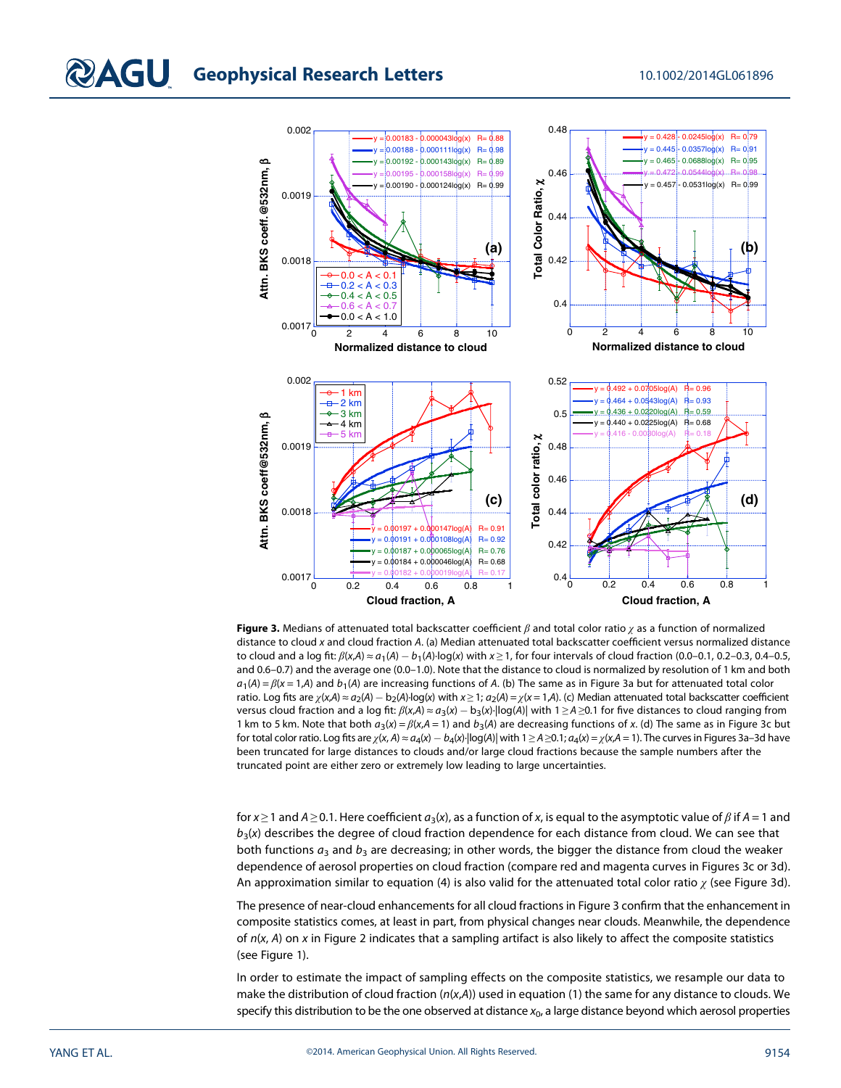

Figure 3. Medians of attenuated total backscatter coefficient  $\beta$  and total color ratio  $\chi$  as a function of normalized distance to cloud x and cloud fraction A. (a) Median attenuated total backscatter coefficient versus normalized distance to cloud and a log fit:  $\beta(x,A) \approx a_1(A) - b_1(A) \cdot \log(x)$  with  $x \ge 1$ , for four intervals of cloud fraction (0.0–0.1, 0.2–0.3, 0.4–0.5, and 0.6–0.7) and the average one (0.0–1.0). Note that the distance to cloud is normalized by resolution of 1 km and both  $a_1(A) = \beta(x = 1,A)$  and  $b_1(A)$  are increasing functions of A. (b) The same as in Figure 3a but for attenuated total color ratio. Log fits are  $\chi(x,A) \approx a_2(A) - b_2(A) \cdot \log(x)$  with  $x \ge 1$ ;  $a_2(A) = \chi(x = 1,A)$ . (c) Median attenuated total backscatter coefficient versus cloud fraction and a log fit:  $\beta(x,A) \approx a_3(x)-b_3(x)\cdot |\log(A)|$  with 1  $\geq$  A  $\geq$ 0.1 for five distances to cloud ranging from 1 km to 5 km. Note that both  $a_3(x) = \beta(x,A = 1)$  and  $b_3(A)$  are decreasing functions of x. (d) The same as in Figure 3c but for total color ratio. Log fits are  $\chi(x,A) \approx a_4(x)-b_4(x)$   $|\log(A)|$  with  $1 \ge A \ge 0.1$  ;  $a_4(x)=\chi(x,A=1)$ . The curves in Figures 3a–3d have been truncated for large distances to clouds and/or large cloud fractions because the sample numbers after the truncated point are either zero or extremely low leading to large uncertainties.

for  $x \ge 1$  and  $A \ge 0.1$ . Here coefficient  $a_3(x)$ , as a function of x, is equal to the asymptotic value of  $\beta$  if  $A = 1$  and  $b_3(x)$  describes the degree of cloud fraction dependence for each distance from cloud. We can see that both functions  $a_3$  and  $b_3$  are decreasing; in other words, the bigger the distance from cloud the weaker dependence of aerosol properties on cloud fraction (compare red and magenta curves in Figures 3c or 3d). An approximation similar to equation (4) is also valid for the attenuated total color ratio  $\chi$  (see Figure 3d).

The presence of near-cloud enhancements for all cloud fractions in Figure 3 confirm that the enhancement in composite statistics comes, at least in part, from physical changes near clouds. Meanwhile, the dependence of  $n(x, A)$  on x in Figure 2 indicates that a sampling artifact is also likely to affect the composite statistics (see Figure 1).

In order to estimate the impact of sampling effects on the composite statistics, we resample our data to make the distribution of cloud fraction  $(n(x,A))$  used in equation (1) the same for any distance to clouds. We specify this distribution to be the one observed at distance  $x_0$ , a large distance beyond which aerosol properties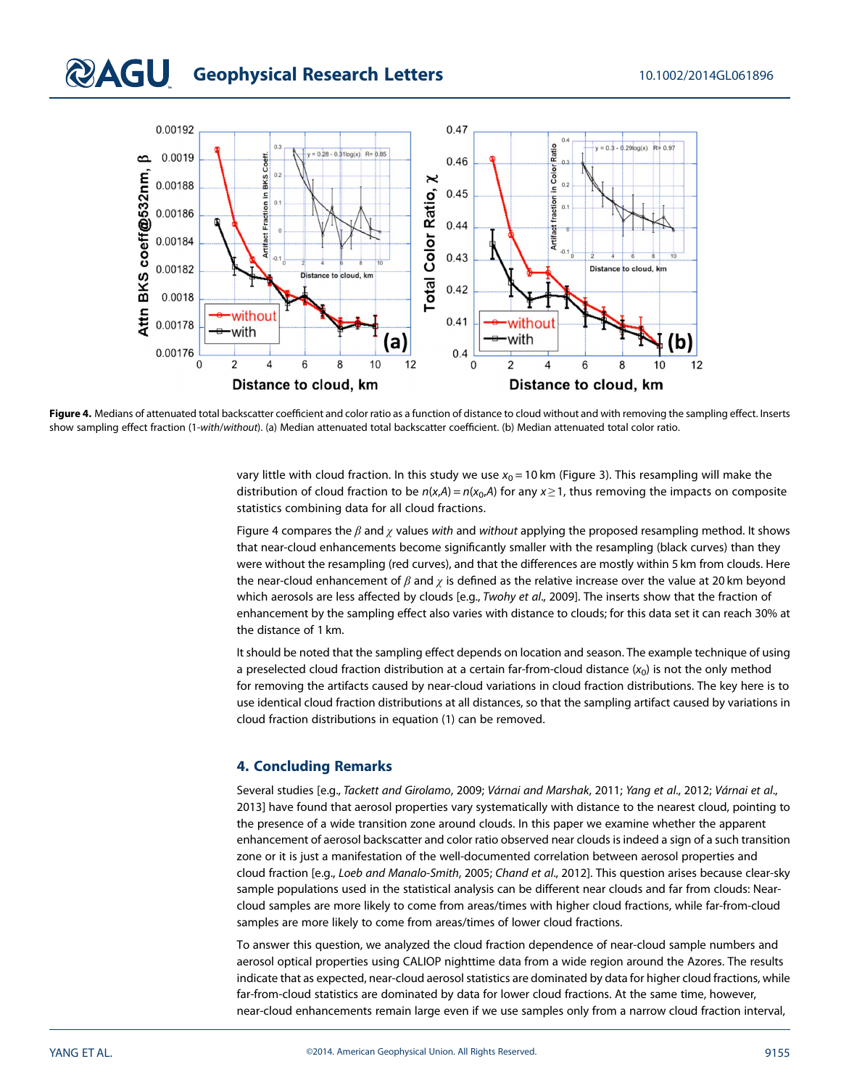# **QAGU** Geophysical Research Letters 10.1002/2014GL061896



Figure 4. Medians of attenuated total backscatter coefficient and color ratio as a function of distance to cloud without and with removing the sampling effect. Inserts show sampling effect fraction (1-with/without). (a) Median attenuated total backscatter coefficient. (b) Median attenuated total color ratio.

vary little with cloud fraction. In this study we use  $x_0 = 10$  km (Figure 3). This resampling will make the distribution of cloud fraction to be  $n(x,A) = n(x_0,A)$  for any  $x \ge 1$ , thus removing the impacts on composite statistics combining data for all cloud fractions.

Figure 4 compares the  $\beta$  and  $\gamma$  values with and without applying the proposed resampling method. It shows that near-cloud enhancements become significantly smaller with the resampling (black curves) than they were without the resampling (red curves), and that the differences are mostly within 5 km from clouds. Here the near-cloud enhancement of  $\beta$  and  $\chi$  is defined as the relative increase over the value at 20 km beyond which aerosols are less affected by clouds [e.g., Twohy et al., 2009]. The inserts show that the fraction of enhancement by the sampling effect also varies with distance to clouds; for this data set it can reach 30% at the distance of 1 km.

It should be noted that the sampling effect depends on location and season. The example technique of using a preselected cloud fraction distribution at a certain far-from-cloud distance  $(x_0)$  is not the only method for removing the artifacts caused by near-cloud variations in cloud fraction distributions. The key here is to use identical cloud fraction distributions at all distances, so that the sampling artifact caused by variations in cloud fraction distributions in equation (1) can be removed.

#### 4. Concluding Remarks

Several studies [e.g., Tackett and Girolamo, 2009; Várnai and Marshak, 2011; Yang et al., 2012; Várnai et al., 2013] have found that aerosol properties vary systematically with distance to the nearest cloud, pointing to the presence of a wide transition zone around clouds. In this paper we examine whether the apparent enhancement of aerosol backscatter and color ratio observed near clouds is indeed a sign of a such transition zone or it is just a manifestation of the well-documented correlation between aerosol properties and cloud fraction [e.g., Loeb and Manalo-Smith, 2005; Chand et al., 2012]. This question arises because clear-sky sample populations used in the statistical analysis can be different near clouds and far from clouds: Nearcloud samples are more likely to come from areas/times with higher cloud fractions, while far-from-cloud samples are more likely to come from areas/times of lower cloud fractions.

To answer this question, we analyzed the cloud fraction dependence of near-cloud sample numbers and aerosol optical properties using CALIOP nighttime data from a wide region around the Azores. The results indicate that as expected, near-cloud aerosol statistics are dominated by data for higher cloud fractions, while far-from-cloud statistics are dominated by data for lower cloud fractions. At the same time, however, near-cloud enhancements remain large even if we use samples only from a narrow cloud fraction interval,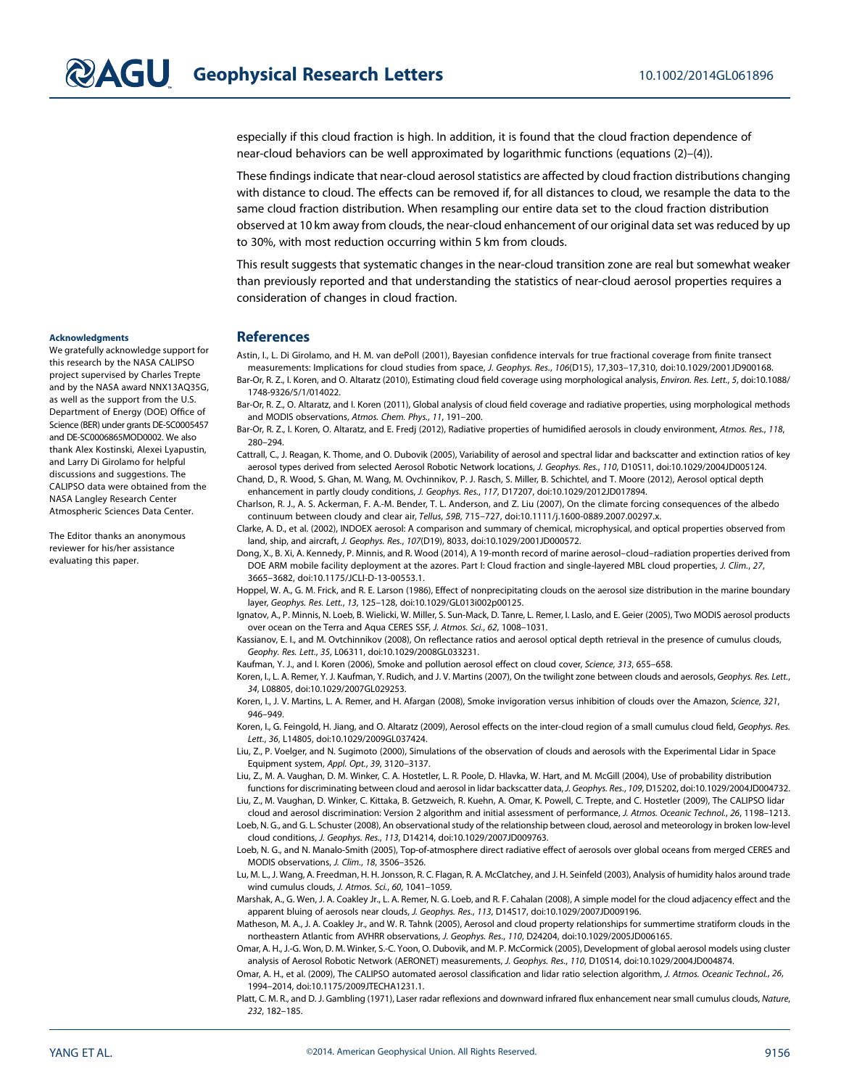especially if this cloud fraction is high. In addition, it is found that the cloud fraction dependence of near-cloud behaviors can be well approximated by logarithmic functions (equations (2)–(4)).

These findings indicate that near-cloud aerosol statistics are affected by cloud fraction distributions changing with distance to cloud. The effects can be removed if, for all distances to cloud, we resample the data to the same cloud fraction distribution. When resampling our entire data set to the cloud fraction distribution observed at 10 km away from clouds, the near-cloud enhancement of our original data set was reduced by up to 30%, with most reduction occurring within 5 km from clouds.

This result suggests that systematic changes in the near-cloud transition zone are real but somewhat weaker than previously reported and that understanding the statistics of near-cloud aerosol properties requires a consideration of changes in cloud fraction.

#### References

Astin, I., L. Di Girolamo, and H. M. van dePoll (2001), Bayesian confidence intervals for true fractional coverage from finite transect measurements: Implications for cloud studies from space, J. Geophys. Res., 106(D15), 17,303–17,310, doi:[10.1029/2001JD900168.](http://dx.doi.org/10.1029/2001JD900168) Bar-Or, R. Z., I. Koren, and O. Altaratz (2010), Estimating cloud field coverage using morphological analysis, Environ. Res. Lett., 5, doi[:10.1088/](http://dx.doi.org/10.1088/1748-9326/5/1/014022)

[1748-9326/5/1/014022.](http://dx.doi.org/10.1088/1748-9326/5/1/014022)

Bar-Or, R. Z., O. Altaratz, and I. Koren (2011), Global analysis of cloud field coverage and radiative properties, using morphological methods and MODIS observations, Atmos. Chem. Phys., 11, 191–200.

Bar-Or, R. Z., I. Koren, O. Altaratz, and E. Fredj (2012), Radiative properties of humidified aerosols in cloudy environment, Atmos. Res., 118, 280–294.

Cattrall, C., J. Reagan, K. Thome, and O. Dubovik (2005), Variability of aerosol and spectral lidar and backscatter and extinction ratios of key aerosol types derived from selected Aerosol Robotic Network locations, J. Geophys. Res., 110, D10S11, doi:[10.1029/2004JD005124.](http://dx.doi.org/10.1029/2004JD005124)

Chand, D., R. Wood, S. Ghan, M. Wang, M. Ovchinnikov, P. J. Rasch, S. Miller, B. Schichtel, and T. Moore (2012), Aerosol optical depth enhancement in partly cloudy conditions, J. Geophys. Res., 117, D17207, doi:[10.1029/2012JD017894](http://dx.doi.org/10.1029/2012JD017894).

Charlson, R. J., A. S. Ackerman, F. A.-M. Bender, T. L. Anderson, and Z. Liu (2007), On the climate forcing consequences of the albedo continuum between cloudy and clear air, Tellus, 59B, 715–727, doi:[10.1111/j.1600-0889.2007.00297.x](http://dx.doi.org/10.1111/j.1600-0889.2007.00297.x).

Clarke, A. D., et al. (2002), INDOEX aerosol: A comparison and summary of chemical, microphysical, and optical properties observed from land, ship, and aircraft, J. Geophys. Res., 107(D19), 8033, doi:[10.1029/2001JD000572.](http://dx.doi.org/10.1029/2001JD000572)

Dong, X., B. Xi, A. Kennedy, P. Minnis, and R. Wood (2014), A 19-month record of marine aerosol–cloud–radiation properties derived from DOE ARM mobile facility deployment at the azores. Part I: Cloud fraction and single-layered MBL cloud properties, J. Clim., 27, 3665–3682, doi:[10.1175/JCLI-D-13-00553.1.](http://dx.doi.org/10.1175/JCLI-D-13-00553.1)

Hoppel, W. A., G. M. Frick, and R. E. Larson (1986), Effect of nonprecipitating clouds on the aerosol size distribution in the marine boundary layer, Geophys. Res. Lett., 13, 125–128, doi[:10.1029/GL013i002p00125](http://dx.doi.org/10.1029/GL013i002p00125).

Ignatov, A., P. Minnis, N. Loeb, B. Wielicki, W. Miller, S. Sun-Mack, D. Tanre, L. Remer, I. Laslo, and E. Geier (2005), Two MODIS aerosol products over ocean on the Terra and Aqua CERES SSF, J. Atmos. Sci., 62, 1008–1031.

Kassianov, E. I., and M. Ovtchinnikov (2008), On reflectance ratios and aerosol optical depth retrieval in the presence of cumulus clouds, Geophy. Res. Lett., 35, L06311, doi:[10.1029/2008GL033231.](http://dx.doi.org/10.1029/2008GL033231)

Kaufman, Y. J., and I. Koren (2006), Smoke and pollution aerosol effect on cloud cover, Science, 313, 655–658.

Koren, I., L. A. Remer, Y. J. Kaufman, Y. Rudich, and J. V. Martins (2007), On the twilight zone between clouds and aerosols, Geophys. Res. Lett., 34, L08805, doi:[10.1029/2007GL029253.](http://dx.doi.org/10.1029/2007GL029253)

Koren, I., J. V. Martins, L. A. Remer, and H. Afargan (2008), Smoke invigoration versus inhibition of clouds over the Amazon, Science, 321, 946–949.

Koren, I., G. Feingold, H. Jiang, and O. Altaratz (2009), Aerosol effects on the inter-cloud region of a small cumulus cloud field, Geophys. Res. Lett., 36, L14805, doi[:10.1029/2009GL037424.](http://dx.doi.org/10.1029/2009GL037424)

Liu, Z., P. Voelger, and N. Sugimoto (2000), Simulations of the observation of clouds and aerosols with the Experimental Lidar in Space Equipment system, Appl. Opt., 39, 3120–3137.

Liu, Z., M. A. Vaughan, D. M. Winker, C. A. Hostetler, L. R. Poole, D. Hlavka, W. Hart, and M. McGill (2004), Use of probability distribution functions for discriminating between cloud and aerosol in lidar backscatter data, J. Geophys. Res., 109, D15202, doi[:10.1029/2004JD004732](http://dx.doi.org/10.1029/2004JD004732).

Liu, Z., M. Vaughan, D. Winker, C. Kittaka, B. Getzweich, R. Kuehn, A. Omar, K. Powell, C. Trepte, and C. Hostetler (2009), The CALIPSO lidar cloud and aerosol discrimination: Version 2 algorithm and initial assessment of performance, J. Atmos. Oceanic Technol., 26, 1198–1213.

Loeb, N. G., and G. L. Schuster (2008), An observational study of the relationship between cloud, aerosol and meteorology in broken low-level cloud conditions, J. Geophys. Res., 113, D14214, doi[:10.1029/2007JD009763](http://dx.doi.org/10.1029/2007JD009763).

Loeb, N. G., and N. Manalo-Smith (2005), Top-of-atmosphere direct radiative effect of aerosols over global oceans from merged CERES and MODIS observations, J. Clim., 18, 3506–3526.

Lu, M. L., J. Wang, A. Freedman, H. H. Jonsson, R. C. Flagan, R. A. McClatchey, and J. H. Seinfeld (2003), Analysis of humidity halos around trade wind cumulus clouds, J. Atmos. Sci., 60, 1041–1059.

Marshak, A., G. Wen, J. A. Coakley Jr., L. A. Remer, N. G. Loeb, and R. F. Cahalan (2008), A simple model for the cloud adjacency effect and the apparent bluing of aerosols near clouds, J. Geophys. Res., 113, D14S17, doi[:10.1029/2007JD009196.](http://dx.doi.org/10.1029/2007JD009196)

Matheson, M. A., J. A. Coakley Jr., and W. R. Tahnk (2005), Aerosol and cloud property relationships for summertime stratiform clouds in the northeastern Atlantic from AVHRR observations, J. Geophys. Res., 110, D24204, doi:[10.1029/2005JD006165](http://dx.doi.org/10.1029/2005JD006165).

Omar, A. H., J.-G. Won, D. M. Winker, S.-C. Yoon, O. Dubovik, and M. P. McCormick (2005), Development of global aerosol models using cluster analysis of Aerosol Robotic Network (AERONET) measurements, J. Geophys. Res., 110, D10S14, doi[:10.1029/2004JD004874](http://dx.doi.org/10.1029/2004JD004874).

Omar, A. H., et al. (2009), The CALIPSO automated aerosol classification and lidar ratio selection algorithm, J. Atmos. Oceanic Technol., 26, 1994–2014, doi:[10.1175/2009JTECHA1231.1.](http://dx.doi.org/10.1175/2009JTECHA1231.1)

Platt, C. M. R., and D. J. Gambling (1971), Laser radar reflexions and downward infrared flux enhancement near small cumulus clouds, Nature, 232, 182–185.

#### Acknowledgments

We gratefully acknowledge support for this research by the NASA CALIPSO project supervised by Charles Trepte and by the NASA award NNX13AQ35G, as well as the support from the U.S. Department of Energy (DOE) Office of Science (BER) under grants DE-SC0005457 and DE-SC0006865MOD0002. We also thank Alex Kostinski, Alexei Lyapustin, and Larry Di Girolamo for helpful discussions and suggestions. The CALIPSO data were obtained from the NASA Langley Research Center Atmospheric Sciences Data Center.

The Editor thanks an anonymous reviewer for his/her assistance evaluating this paper.